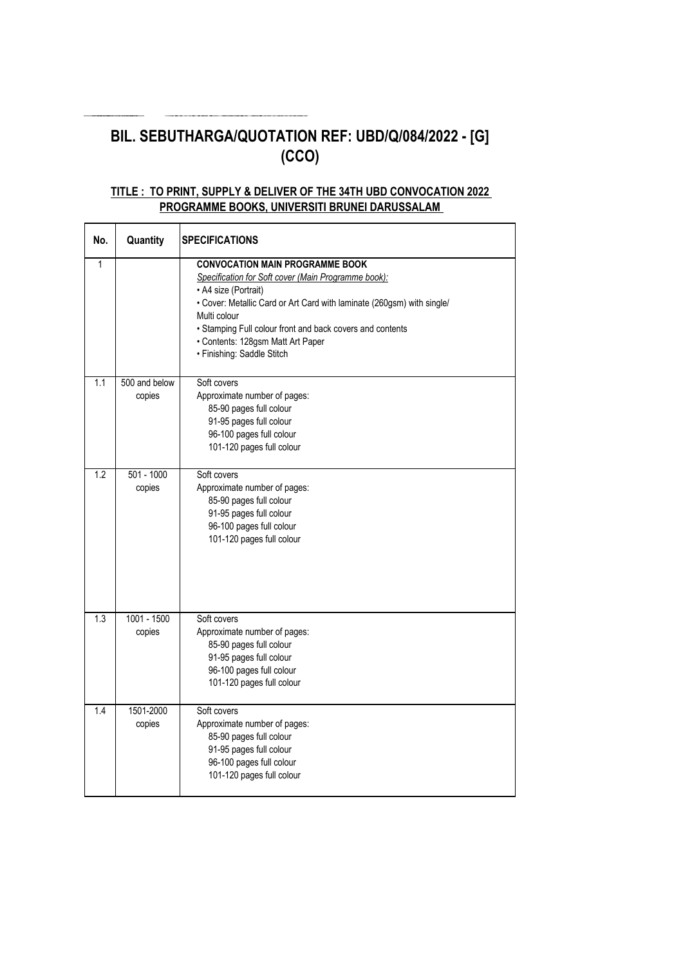# **BIL. SEBUTHARGA/QUOTATION REF: UBD/Q/084/2022 - [G] (CCO)**

### **TITLE : TO PRINT, SUPPLY & DELIVER OF THE 34TH UBD CONVOCATION 2022 PROGRAMME BOOKS, UNIVERSITI BRUNEI DARUSSALAM**

| No.          | Quantity                | <b>SPECIFICATIONS</b>                                                                                                                                                                                                                                                                                                                           |
|--------------|-------------------------|-------------------------------------------------------------------------------------------------------------------------------------------------------------------------------------------------------------------------------------------------------------------------------------------------------------------------------------------------|
| $\mathbf{1}$ |                         | <b>CONVOCATION MAIN PROGRAMME BOOK</b><br>Specification for Soft cover (Main Programme book):<br>• A4 size (Portrait)<br>• Cover: Metallic Card or Art Card with laminate (260gsm) with single/<br>Multi colour<br>• Stamping Full colour front and back covers and contents<br>• Contents: 128gsm Matt Art Paper<br>· Finishing: Saddle Stitch |
| 1.1          | 500 and below<br>copies | Soft covers<br>Approximate number of pages:<br>85-90 pages full colour<br>91-95 pages full colour<br>96-100 pages full colour<br>101-120 pages full colour                                                                                                                                                                                      |
| 1.2          | $501 - 1000$<br>copies  | Soft covers<br>Approximate number of pages:<br>85-90 pages full colour<br>91-95 pages full colour<br>96-100 pages full colour<br>101-120 pages full colour                                                                                                                                                                                      |
| 1.3          | $1001 - 1500$<br>copies | Soft covers<br>Approximate number of pages:<br>85-90 pages full colour<br>91-95 pages full colour<br>96-100 pages full colour<br>101-120 pages full colour                                                                                                                                                                                      |
| 1.4          | 1501-2000<br>copies     | Soft covers<br>Approximate number of pages:<br>85-90 pages full colour<br>91-95 pages full colour<br>96-100 pages full colour<br>101-120 pages full colour                                                                                                                                                                                      |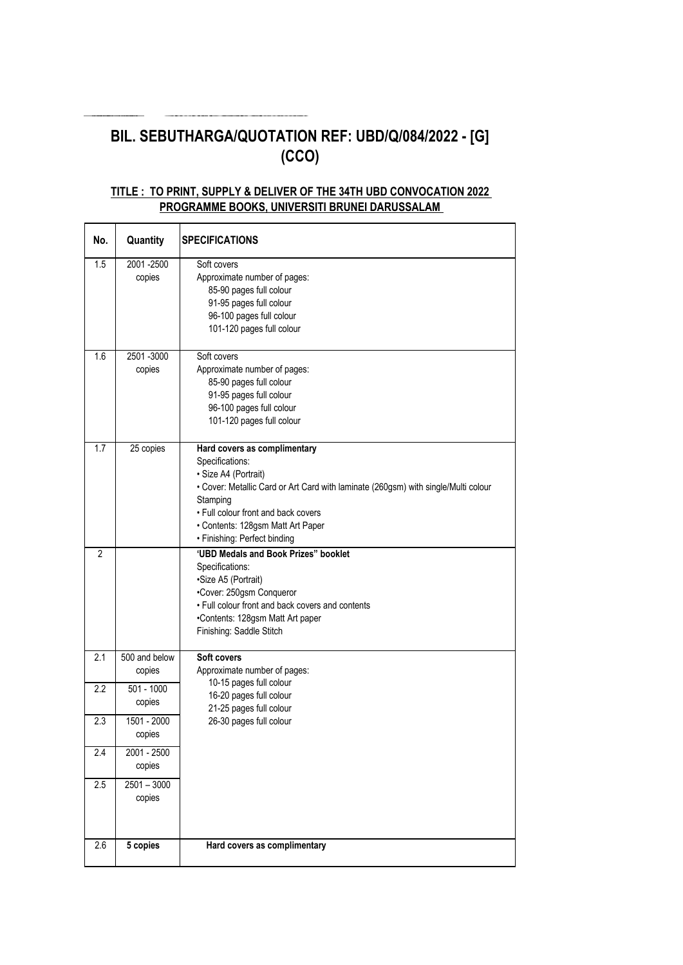# **BIL. SEBUTHARGA/QUOTATION REF: UBD/Q/084/2022 - [G] (CCO)**

#### **TITLE : TO PRINT, SUPPLY & DELIVER OF THE 34TH UBD CONVOCATION 2022 PROGRAMME BOOKS, UNIVERSITI BRUNEI DARUSSALAM**

| No.            | Quantity                | <b>SPECIFICATIONS</b>                                                                                                                                                                                                                                                                 |
|----------------|-------------------------|---------------------------------------------------------------------------------------------------------------------------------------------------------------------------------------------------------------------------------------------------------------------------------------|
| 1.5            | 2001-2500<br>copies     | Soft covers<br>Approximate number of pages:<br>85-90 pages full colour<br>91-95 pages full colour<br>96-100 pages full colour<br>101-120 pages full colour                                                                                                                            |
| 1.6            | 2501-3000<br>copies     | Soft covers<br>Approximate number of pages:<br>85-90 pages full colour<br>91-95 pages full colour<br>96-100 pages full colour<br>101-120 pages full colour                                                                                                                            |
| 1.7            | 25 copies               | Hard covers as complimentary<br>Specifications:<br>· Size A4 (Portrait)<br>• Cover: Metallic Card or Art Card with laminate (260gsm) with single/Multi colour<br>Stamping<br>• Full colour front and back covers<br>• Contents: 128gsm Matt Art Paper<br>· Finishing: Perfect binding |
| $\overline{2}$ |                         | 'UBD Medals and Book Prizes" booklet<br>Specifications:<br>·Size A5 (Portrait)<br>•Cover: 250gsm Conqueror<br>• Full colour front and back covers and contents<br>•Contents: 128gsm Matt Art paper<br>Finishing: Saddle Stitch                                                        |
| 2.1            | 500 and below<br>copies | Soft covers<br>Approximate number of pages:                                                                                                                                                                                                                                           |
| 2.2            | $501 - 1000$<br>copies  | 10-15 pages full colour<br>16-20 pages full colour<br>21-25 pages full colour                                                                                                                                                                                                         |
| 2.3            | 1501 - 2000<br>copies   | 26-30 pages full colour                                                                                                                                                                                                                                                               |
| 2.4            | 2001 - 2500<br>copies   |                                                                                                                                                                                                                                                                                       |
| 2.5            | $2501 - 3000$<br>copies |                                                                                                                                                                                                                                                                                       |
| 2.6            | 5 copies                | Hard covers as complimentary                                                                                                                                                                                                                                                          |